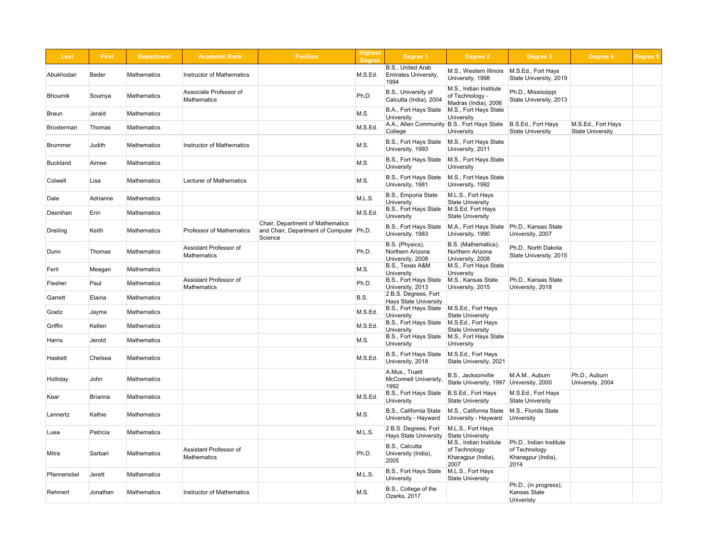| <b>Last</b>  | <b>First</b>   | <b>Department</b>  | <b>Academic Rank</b>                         | <b>Position</b>                                                                        | <b>Highest</b><br><b>Degree</b> | Degree 1                                                 | Degree 2                                                              | Degree 3                                                               | Degree 4                                      | Degree 5 |
|--------------|----------------|--------------------|----------------------------------------------|----------------------------------------------------------------------------------------|---------------------------------|----------------------------------------------------------|-----------------------------------------------------------------------|------------------------------------------------------------------------|-----------------------------------------------|----------|
| Abukhodair   | <b>Bader</b>   | <b>Mathematics</b> | <b>Instructor of Mathematics</b>             |                                                                                        | M.S.Ed.                         | B.S., United Arab<br><b>Emirates University,</b><br>1994 | M.S., Western Illinois<br>University, 1998                            | M.S.Ed., Fort Hays<br>State University, 2019                           |                                               |          |
| Bhoumik      | Soumya         | <b>Mathematics</b> | Associate Professor of<br><b>Mathematics</b> |                                                                                        | Ph.D.                           | B.S., University of<br>Calcutta (India), 2004            | M.S., Indian Institute<br>of Technology -<br>Madras (India), 2006     | Ph.D., Mississippi<br>State University, 2013                           |                                               |          |
| Braun        | Jerald         | <b>Mathematics</b> |                                              |                                                                                        | M.S.                            | B.A., Fort Hays State<br><b>University</b>               | M.S., Fort Hays State<br>University                                   |                                                                        |                                               |          |
| Broxterman   | Thomas         | <b>Mathematics</b> |                                              |                                                                                        | M.S.Ed.                         | College                                                  | A.A., Allen Community B.S., Fort Hays State<br><b>University</b>      | B.S.Ed., Fort Hays<br><b>State University</b>                          | M.S.Ed., Fort Hays<br><b>State University</b> |          |
| Brummer      | Judith         | <b>Mathematics</b> | <b>Instructor of Mathematics</b>             |                                                                                        | M.S.                            | B.S., Fort Hays State<br>University, 1993                | M.S., Fort Hays State<br>University, 2011                             |                                                                        |                                               |          |
| Buckland     | Aimee          | <b>Mathematics</b> |                                              |                                                                                        | M.S.                            | <b>B.S., Fort Hays State</b><br><b>University</b>        | M.S., Fort Hays State<br>University                                   |                                                                        |                                               |          |
| Colwell      | Lisa           | <b>Mathematics</b> | <b>Lecturer of Mathematics</b>               |                                                                                        | M.S.                            | B.S., Fort Hays State<br>University, 1981                | M.S., Fort Hays State<br>University, 1992                             |                                                                        |                                               |          |
| Dale         | Adrianne       | <b>Mathematics</b> |                                              |                                                                                        | M.L.S.                          | B.S., Emporia State<br>University                        | M.L.S., Fort Hays<br><b>State University</b>                          |                                                                        |                                               |          |
| Deenihan     | Erin           | <b>Mathematics</b> |                                              |                                                                                        | M.S.Ed.                         | B.S., Fort Hays State<br>University                      | M.S.Ed. Fort Hays<br><b>State University</b>                          |                                                                        |                                               |          |
| Dreiling     | Keith          | <b>Mathematics</b> | <b>Professor of Mathematics</b>              | Chair, Department of Mathematics<br>and Chair, Department of Computer Ph.D.<br>Science |                                 | B.S., Fort Hays State<br>University, 1983                | M.A., Fort Hays State<br>University, 1990                             | Ph.D., Kansas State<br>University, 2007                                |                                               |          |
| Dunn         | Thomas         | <b>Mathematics</b> | Assistant Professor of<br><b>Mathematics</b> |                                                                                        | Ph.D.                           | B.S. (Physics),<br>Northern Arizona<br>University, 2008  | B.S. (Mathematics),<br>Northern Arizona<br>University, 2008           | Ph.D., North Dakota<br>State University, 2015                          |                                               |          |
| Feril        | Meagan         | Mathematics        |                                              |                                                                                        | M.S.                            | B.S., Texas A&M<br>University                            | M.S., Fort Hays State<br>University                                   |                                                                        |                                               |          |
| Flesher      | Paul           | <b>Mathematics</b> | Assistant Professor of<br><b>Mathematics</b> |                                                                                        | Ph.D.                           | B.S., Fort Hays State<br>University, 2013                | M.S., Kansas State<br>University, 2015                                | Ph.D., Kansas State<br>University, 2018                                |                                               |          |
| Garrett      | Elaina         | <b>Mathematics</b> |                                              |                                                                                        | B.S.                            | 2 B.S. Degrees, Fort<br><b>Hays State University</b>     |                                                                       |                                                                        |                                               |          |
| Goetz        | Jayme          | Mathematics        |                                              |                                                                                        | M.S.Ed.                         | B.S., Fort Hays State<br>University                      | M.S.Ed., Fort Hays<br><b>State University</b>                         |                                                                        |                                               |          |
| Griffin      | Kellen         | <b>Mathematics</b> |                                              |                                                                                        | M.S.Ed.                         | B.S., Fort Hays State<br>University                      | M.S.Ed., Fort Hays<br><b>State University</b>                         |                                                                        |                                               |          |
| Harris       | Jerold         | <b>Mathematics</b> |                                              |                                                                                        | M.S.                            | B.S., Fort Hays State<br>University                      | M.S., Fort Hays State<br>University                                   |                                                                        |                                               |          |
| Haskett      | Chelsea        | <b>Mathematics</b> |                                              |                                                                                        | M.S.Ed.                         | B.S., Fort Hays State<br>University, 2018                | M.S.Ed., Fort Hays<br>State University, 2021                          |                                                                        |                                               |          |
| Holliday     | John           | <b>Mathematics</b> |                                              |                                                                                        |                                 | A.Mus., Truett<br><b>McConnell University,</b><br>1992   | B.S., Jacksonville<br>State University, 1997                          | M.A.M., Auburn<br>University, 2000                                     | Ph.D., Auburn<br>University, 2004             |          |
| Kear         | <b>Brianna</b> | <b>Mathematics</b> |                                              |                                                                                        | M.S.Ed.                         | B.S., Fort Hays State<br><b>University</b>               | B.S.Ed., Fort Hays<br><b>State University</b>                         | M.S.Ed., Fort Hays<br><b>State University</b>                          |                                               |          |
| Lennertz     | Kathie         | <b>Mathematics</b> |                                              |                                                                                        | M.S.                            | <b>B.S., California State</b><br>University - Hayward    | M.S., California State<br>University - Hayward                        | M.S., Florida State<br>University                                      |                                               |          |
| Luea         | Patricia       | <b>Mathematics</b> |                                              |                                                                                        | M.L.S.                          | 2 B.S. Degrees, Fort<br><b>Hays State University</b>     | M.L.S., Fort Hays<br>State University                                 |                                                                        |                                               |          |
| Mitra        | Sarbari        | <b>Mathematics</b> | Assistant Professor of<br><b>Mathematics</b> |                                                                                        | Ph.D.                           | B.S., Calcutta<br>University (India),<br>2005            | M.S., Indian Institute<br>of Technology<br>Kharagpur (India),<br>2007 | Ph.D., Indian Institute<br>of Technology<br>Kharagpur (India),<br>2014 |                                               |          |
| Pfannenstiel | <b>Jerett</b>  | <b>Mathematics</b> |                                              |                                                                                        | M.L.S.                          | B.S., Fort Hays State<br><b>University</b>               | M.L.S., Fort Hays<br><b>State University</b>                          |                                                                        |                                               |          |
| Rehmert      | Jonathan       | Mathematics        | <b>Instructor of Mathematics</b>             |                                                                                        | M.S.                            | B.S., College of the<br>Ozarks, 2017                     |                                                                       | Ph.D., (in progress),<br><b>Kansas State</b><br>Univeristy             |                                               |          |